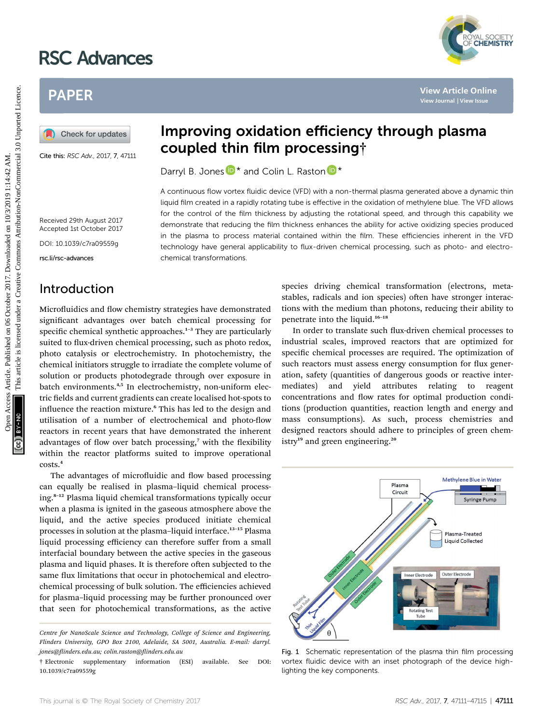# RSC Advances

# PAPER

Cite this: RSC Adv., 2017, 7, 47111

# Improving oxidation efficiency through plasma coupled thin film processing†

Darryl B. Jones  $\mathbb{D}^*$  and Colin L. Raston  $\mathbb{D}^*$ 

A continuous flow vortex fluidic device (VFD) with a non-thermal plasma generated above a dynamic thin liquid film created in a rapidly rotating tube is effective in the oxidation of methylene blue. The VFD allows for the control of the film thickness by adjusting the rotational speed, and through this capability we demonstrate that reducing the film thickness enhances the ability for active oxidizing species produced in the plasma to process material contained within the film. These efficiencies inherent in the VFD technology have general applicability to flux-driven chemical processing, such as photo- and electrochemical transformations.

Received 29th August 2017 Accepted 1st October 2017

DOI: 10.1039/c7ra09559g

rsc.li/rsc-advances

# Introduction

Microfluidics and flow chemistry strategies have demonstrated significant advantages over batch chemical processing for specific chemical synthetic approaches. $1-3$  They are particularly suited to flux-driven chemical processing, such as photo redox, photo catalysis or electrochemistry. In photochemistry, the chemical initiators struggle to irradiate the complete volume of solution or products photodegrade through over exposure in batch environments.<sup>4,5</sup> In electrochemistry, non-uniform electric fields and current gradients can create localised hot-spots to influence the reaction mixture.<sup>6</sup> This has led to the design and utilisation of a number of electrochemical and photo-flow reactors in recent years that have demonstrated the inherent advantages of flow over batch processing, $7$  with the flexibility within the reactor platforms suited to improve operational costs.<sup>4</sup> **PAPER**<br> **DEVALUES CONSULTER SET AND CONSULTER SET AND COMPLEME COMPLEMENT COMPLEME COMPLEME COMPLEME COMPLEME CONSULTER SET AND CONSULTER SET AND CONSULTER SET AND COMPLEME CONSULTER SET AND CONSULTER SET AND CONSULTER S** 

The advantages of microfluidic and flow based processing can equally be realised in plasma–liquid chemical processing.<sup>8</sup>–<sup>12</sup> Plasma liquid chemical transformations typically occur when a plasma is ignited in the gaseous atmosphere above the liquid, and the active species produced initiate chemical processes in solution at the plasma–liquid interface.<sup>13</sup>–<sup>15</sup> Plasma liquid processing efficiency can therefore suffer from a small interfacial boundary between the active species in the gaseous plasma and liquid phases. It is therefore often subjected to the same flux limitations that occur in photochemical and electrochemical processing of bulk solution. The efficiencies achieved for plasma–liquid processing may be further pronounced over that seen for photochemical transformations, as the active

species driving chemical transformation (electrons, metastables, radicals and ion species) often have stronger interactions with the medium than photons, reducing their ability to penetrate into the liquid.<sup>16</sup>–<sup>18</sup>

In order to translate such flux-driven chemical processes to industrial scales, improved reactors that are optimized for specific chemical processes are required. The optimization of such reactors must assess energy consumption for flux generation, safety (quantities of dangerous goods or reactive intermediates) and yield attributes relating to reagent concentrations and flow rates for optimal production conditions (production quantities, reaction length and energy and mass consumptions). As such, process chemistries and designed reactors should adhere to principles of green chemistry<sup>19</sup> and green engineering.<sup>20</sup>



Fig. 1 Schematic representation of the plasma thin film processing vortex fluidic device with an inset photograph of the device highlighting the key components.



Centre for NanoScale Science and Technology, College of Science and Engineering, Flinders University, GPO Box 2100, Adelaide, SA 5001, Australia. E-mail: darryl. jones@inders.edu.au; colin.raston@inders.edu.au

<sup>†</sup> Electronic supplementary information (ESI) available. See DOI: 10.1039/c7ra09559g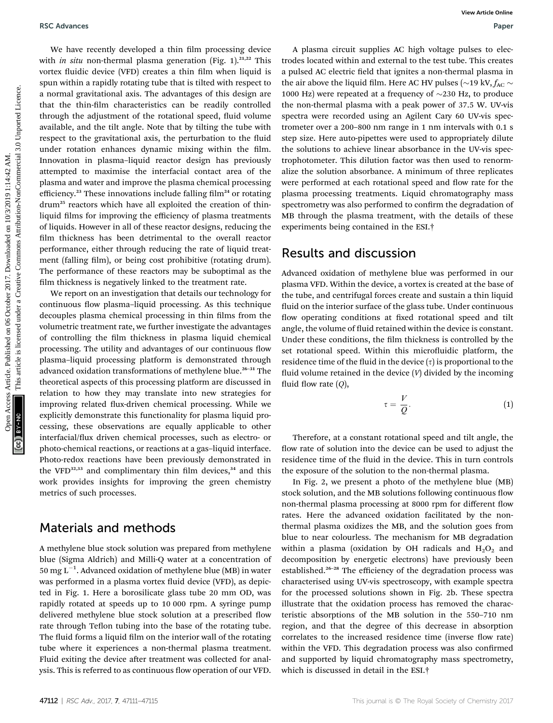We have recently developed a thin film processing device with *in situ* non-thermal plasma generation (Fig. 1).<sup>21,22</sup> This vortex fluidic device (VFD) creates a thin film when liquid is spun within a rapidly rotating tube that is tilted with respect to a normal gravitational axis. The advantages of this design are that the thin-film characteristics can be readily controlled through the adjustment of the rotational speed, fluid volume available, and the tilt angle. Note that by tilting the tube with respect to the gravitational axis, the perturbation to the fluid under rotation enhances dynamic mixing within the film. Innovation in plasma–liquid reactor design has previously attempted to maximise the interfacial contact area of the plasma and water and improve the plasma chemical processing efficiency.<sup>23</sup> These innovations include falling film<sup>24</sup> or rotating drum<sup>25</sup> reactors which have all exploited the creation of thinliquid films for improving the efficiency of plasma treatments of liquids. However in all of these reactor designs, reducing the film thickness has been detrimental to the overall reactor performance, either through reducing the rate of liquid treatment (falling film), or being cost prohibitive (rotating drum). The performance of these reactors may be suboptimal as the film thickness is negatively linked to the treatment rate. **BSC Advances**<br>
We have recomb developed a thin illn processing device<br>
who is argumented that is the devicting the property of the signal state are concelled to the serve at the system of the system of the system of the

We report on an investigation that details our technology for continuous flow plasma-liquid processing. As this technique decouples plasma chemical processing in thin films from the volumetric treatment rate, we further investigate the advantages of controlling the film thickness in plasma liquid chemical processing. The utility and advantages of our continuous flow plasma–liquid processing platform is demonstrated through advanced oxidation transformations of methylene blue.<sup>26-31</sup> The theoretical aspects of this processing platform are discussed in relation to how they may translate into new strategies for improving related flux-driven chemical processing. While we explicitly demonstrate this functionality for plasma liquid processing, these observations are equally applicable to other interfacial/flux driven chemical processes, such as electro- or photo-chemical reactions, or reactions at a gas–liquid interface. Photo-redox reactions have been previously demonstrated in the VFD $^{32,33}$  and complimentary thin film devices, $^{34}$  and this work provides insights for improving the green chemistry metrics of such processes.

### Materials and methods

A methylene blue stock solution was prepared from methylene blue (Sigma Aldrich) and Milli-Q water at a concentration of 50 mg  $L^{-1}$ . Advanced oxidation of methylene blue (MB) in water was performed in a plasma vortex fluid device (VFD), as depicted in Fig. 1. Here a borosilicate glass tube 20 mm OD, was rapidly rotated at speeds up to 10 000 rpm. A syringe pump delivered methylene blue stock solution at a prescribed flow rate through Teflon tubing into the base of the rotating tube. The fluid forms a liquid film on the interior wall of the rotating tube where it experiences a non-thermal plasma treatment. Fluid exiting the device after treatment was collected for analysis. This is referred to as continuous flow operation of our VFD.

A plasma circuit supplies AC high voltage pulses to electrodes located within and external to the test tube. This creates a pulsed AC electric field that ignites a non-thermal plasma in the air above the liquid film. Here AC HV pulses ( $\sim$ 19 kV,  $f_{AC}$ 1000 Hz) were repeated at a frequency of  $\sim$ 230 Hz, to produce the non-thermal plasma with a peak power of 37.5 W. UV-vis spectra were recorded using an Agilent Cary 60 UV-vis spectrometer over a 200–800 nm range in 1 nm intervals with 0.1 s step size. Here auto-pipettes were used to appropriately dilute the solutions to achieve linear absorbance in the UV-vis spectrophotometer. This dilution factor was then used to renormalize the solution absorbance. A minimum of three replicates were performed at each rotational speed and flow rate for the plasma processing treatments. Liquid chromatography mass spectrometry was also performed to confirm the degradation of MB through the plasma treatment, with the details of these experiments being contained in the ESI.†

#### Results and discussion

Advanced oxidation of methylene blue was performed in our plasma VFD. Within the device, a vortex is created at the base of the tube, and centrifugal forces create and sustain a thin liquid fluid on the interior surface of the glass tube. Under continuous flow operating conditions at fixed rotational speed and tilt angle, the volume of fluid retained within the device is constant. Under these conditions, the film thickness is controlled by the set rotational speed. Within this microfluidic platform, the residence time of the fluid in the device  $(\tau)$  is proportional to the fluid volume retained in the device  $(V)$  divided by the incoming fluid flow rate  $(Q)$ ,

$$
\tau = \frac{V}{Q}.\tag{1}
$$

Therefore, at a constant rotational speed and tilt angle, the flow rate of solution into the device can be used to adjust the residence time of the fluid in the device. This in turn controls the exposure of the solution to the non-thermal plasma.

In Fig. 2, we present a photo of the methylene blue (MB) stock solution, and the MB solutions following continuous flow non-thermal plasma processing at 8000 rpm for different flow rates. Here the advanced oxidation facilitated by the nonthermal plasma oxidizes the MB, and the solution goes from blue to near colourless. The mechanism for MB degradation within a plasma (oxidation by OH radicals and  $H_2O_2$  and decomposition by energetic electrons) have previously been established.<sup>26-28</sup> The efficiency of the degradation process was characterised using UV-vis spectroscopy, with example spectra for the processed solutions shown in Fig. 2b. These spectra illustrate that the oxidation process has removed the characteristic absorptions of the MB solution in the 550–710 nm region, and that the degree of this decrease in absorption correlates to the increased residence time (inverse flow rate) within the VFD. This degradation process was also confirmed and supported by liquid chromatography mass spectrometry, which is discussed in detail in the ESI.†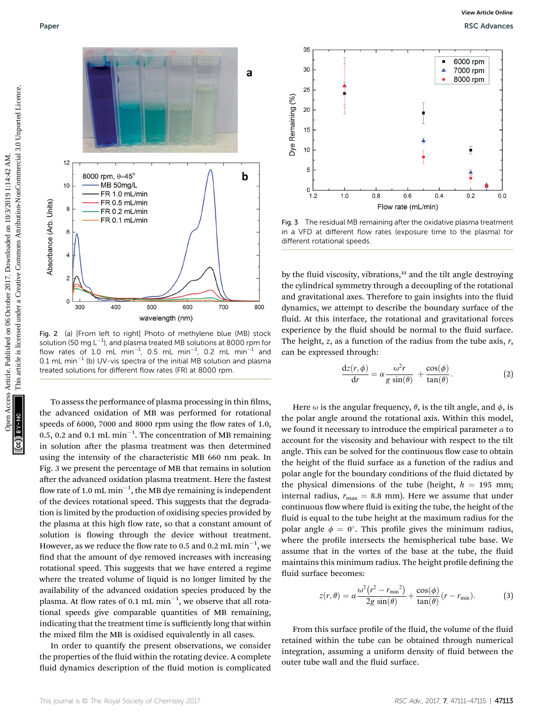

Fig. 2 (a) [From left to right] Photo of methylene blue (MB) stock solution (50 mg L $^{-1}$ ), and plasma treated MB solutions at 8000 rpm for flow rates of 1.0 mL min<sup>-1</sup>, 0.5 mL min<sup>-1</sup>, 0.2 mL min<sup>-1</sup> and 0.1 mL min<sup>-1</sup> (b) UV-vis spectra of the initial MB solution and plasma treated solutions for different flow rates (FR) at 8000 rpm.

To assess the performance of plasma processing in thin films, the advanced oxidation of MB was performed for rotational speeds of 6000, 7000 and 8000 rpm using the flow rates of 1.0, 0.5, 0.2 and 0.1 mL min<sup>-1</sup>. The concentration of MB remaining in solution after the plasma treatment was then determined using the intensity of the characteristic MB 660 nm peak. In Fig. 3 we present the percentage of MB that remains in solution after the advanced oxidation plasma treatment. Here the fastest flow rate of 1.0 mL  $\text{min}^{-1}$ , the MB dye remaining is independent of the devices rotational speed. This suggests that the degradation is limited by the production of oxidising species provided by the plasma at this high flow rate, so that a constant amount of solution is flowing through the device without treatment. However, as we reduce the flow rate to 0.5 and 0.2  $\rm{mL}\min^{-1},$  we find that the amount of dye removed increases with increasing rotational speed. This suggests that we have entered a regime where the treated volume of liquid is no longer limited by the availability of the advanced oxidation species produced by the plasma. At flow rates of 0.1 mL  $\mathrm{min}^{-1}$ , we observe that all rotational speeds give comparable quantities of MB remaining, indicating that the treatment time is sufficiently long that within the mixed film the MB is oxidised equivalently in all cases.

In order to quantify the present observations, we consider the properties of the fluid within the rotating device. A complete fluid dynamics description of the fluid motion is complicated



Fig. 3 The residual MB remaining after the oxidative plasma treatment in a VFD at different flow rates (exposure time to the plasma) for different rotational speeds.

by the fluid viscosity, vibrations,<sup>33</sup> and the tilt angle destroying the cylindrical symmetry through a decoupling of the rotational and gravitational axes. Therefore to gain insights into the fluid dynamics, we attempt to describe the boundary surface of the fluid. At this interface, the rotational and gravitational forces experience by the fluid should be normal to the fluid surface. The height,  $z$ , as a function of the radius from the tube axis,  $r$ , can be expressed through:

$$
\frac{\mathrm{d}z(r,\phi)}{\mathrm{d}r} = \alpha \frac{\omega^2 r}{g \sin(\theta)} + \frac{\cos(\phi)}{\tan(\theta)}.
$$
 (2)

Here  $\omega$  is the angular frequency,  $\theta$ , is the tilt angle, and  $\phi$ , is the polar angle around the rotational axis. Within this model, we found it necessary to introduce the empirical parameter  $\alpha$  to account for the viscosity and behaviour with respect to the tilt angle. This can be solved for the continuous flow case to obtain the height of the fluid surface as a function of the radius and polar angle for the boundary conditions of the fluid dictated by the physical dimensions of the tube (height,  $h = 195$  mm; internal radius,  $r_{\text{max}} = 8.8 \text{ mm}$ ). Here we assume that under continuous flow where fluid is exiting the tube, the height of the fluid is equal to the tube height at the maximum radius for the polar angle  $\phi = 0^{\circ}$ . This profile gives the minimum radius, where the profile intersects the hemispherical tube base. We assume that in the vortex of the base at the tube, the fluid maintains this minimum radius. The height profile defining the fluid surface becomes:

$$
z(r,\theta) = \alpha \frac{\omega^2 (r^2 - r_{\min}^2)}{2g \sin(\theta)} + \frac{\cos(\phi)}{\tan(\theta)} (r - r_{\min}).
$$
 (3)

From this surface profile of the fluid, the volume of the fluid retained within the tube can be obtained through numerical integration, assuming a uniform density of fluid between the outer tube wall and the fluid surface.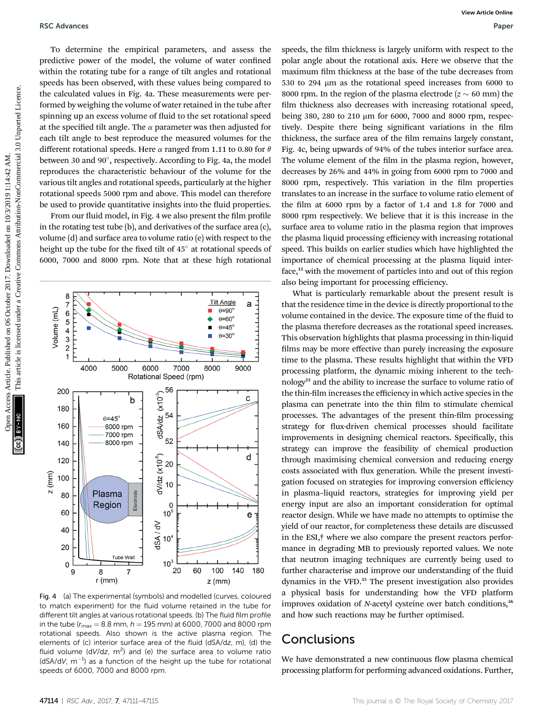To determine the empirical parameters, and assess the predictive power of the model, the volume of water confined within the rotating tube for a range of tilt angles and rotational speeds has been observed, with these values being compared to the calculated values in Fig. 4a. These measurements were performed by weighing the volume of water retained in the tube after spinning up an excess volume of fluid to the set rotational speed at the specified tilt angle. The  $\alpha$  parameter was then adjusted for each tilt angle to best reproduce the measured volumes for the different rotational speeds. Here  $\alpha$  ranged from 1.11 to 0.80 for  $\theta$ between 30 and 90°, respectively. According to Fig. 4a, the model reproduces the characteristic behaviour of the volume for the various tilt angles and rotational speeds, particularly at the higher rotational speeds 5000 rpm and above. This model can therefore be used to provide quantitative insights into the fluid properties.

From our fluid model, in Fig. 4 we also present the film profile in the rotating test tube (b), and derivatives of the surface area (c), volume (d) and surface area to volume ratio (e) with respect to the height up the tube for the fixed tilt of 45° at rotational speeds of 6000, 7000 and 8000 rpm. Note that at these high rotational



Fig. 4 (a) The experimental (symbols) and modelled (curves, coloured to match experiment) for the fluid volume retained in the tube for different tilt angles at various rotational speeds. (b) The fluid film profile in the tube  $(r_{\text{max}} = 8.8 \text{ mm}, h = 195 \text{ mm})$  at 6000, 7000 and 8000 rpm rotational speeds. Also shown is the active plasma region. The elements of (c) interior surface area of the fluid (dSA/dz, m), (d) the fluid volume (dV/dz,  $m^2$ ) and (e) the surface area to volume ratio (dSA/dV,  $m^{-1}$ ) as a function of the height up the tube for rotational speeds of 6000, 7000 and 8000 rpm.

speeds, the film thickness is largely uniform with respect to the polar angle about the rotational axis. Here we observe that the maximum film thickness at the base of the tube decreases from 530 to 294 µm as the rotational speed increases from 6000 to 8000 rpm. In the region of the plasma electrode ( $z \sim 60$  mm) the film thickness also decreases with increasing rotational speed, being 380, 280 to 210 µm for 6000, 7000 and 8000 rpm, respectively. Despite there being significant variations in the film thickness, the surface area of the film remains largely constant, Fig. 4c, being upwards of 94% of the tubes interior surface area. The volume element of the film in the plasma region, however, decreases by 26% and 44% in going from 6000 rpm to 7000 and 8000 rpm, respectively. This variation in the film properties translates to an increase in the surface to volume ratio element of the film at  $6000$  rpm by a factor of 1.4 and 1.8 for 7000 and 8000 rpm respectively. We believe that it is this increase in the surface area to volume ratio in the plasma region that improves the plasma liquid processing efficiency with increasing rotational speed. This builds on earlier studies which have highlighted the importance of chemical processing at the plasma liquid interface,<sup>12</sup> with the movement of particles into and out of this region also being important for processing efficiency. T6 C Advances<br>
To decoratine the maintain parameters, and assess the speeds, due the main article is compared to the main article is licensed under the main article is licensed under the main article is licensed under the

What is particularly remarkable about the present result is that the residence time in the device is directly proportional to the volume contained in the device. The exposure time of the fluid to the plasma therefore decreases as the rotational speed increases. This observation highlights that plasma processing in thin-liquid films may be more effective than purely increasing the exposure time to the plasma. These results highlight that within the VFD processing platform, the dynamic mixing inherent to the technology<sup>22</sup> and the ability to increase the surface to volume ratio of the thin-film increases the efficiency in which active species in the plasma can penetrate into the thin film to stimulate chemical processes. The advantages of the present thin-film processing strategy for flux-driven chemical processes should facilitate improvements in designing chemical reactors. Specifically, this strategy can improve the feasibility of chemical production through maximising chemical conversion and reducing energy costs associated with flux generation. While the present investigation focused on strategies for improving conversion efficiency in plasma–liquid reactors, strategies for improving yield per energy input are also an important consideration for optimal reactor design. While we have made no attempts to optimise the yield of our reactor, for completeness these details are discussed in the ESI,† where we also compare the present reactors performance in degrading MB to previously reported values. We note that neutron imaging techniques are currently being used to further characterise and improve our understanding of the fluid dynamics in the VFD.<sup>35</sup> The present investigation also provides a physical basis for understanding how the VFD platform improves oxidation of  $N$ -acetyl cysteine over batch conditions, $36$ and how such reactions may be further optimised.

# **Conclusions**

We have demonstrated a new continuous flow plasma chemical processing platform for performing advanced oxidations. Further,